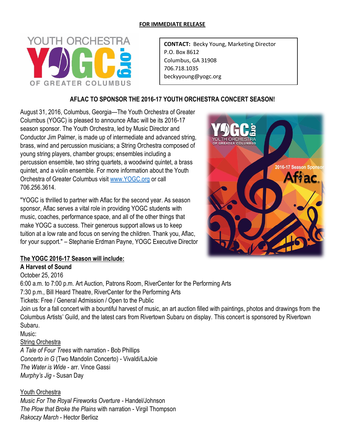#### **FOR IMMEDIATE RELEASE**



**CONTACT:** Becky Young, Marketing Director P.O. Box 8612 Columbus, GA 31908 706.718.1035 beckyyoung@yogc.org

## **AFLAC TO SPONSOR THE 2016-17 YOUTH ORCHESTRA CONCERT SEASON!**

August 31, 2016, Columbus, Georgia—The Youth Orchestra of Greater Columbus (YOGC) is pleased to announce Aflac will be its 2016-17 season sponsor. The Youth Orchestra, led by Music Director and Conductor Jim Palmer, is made up of intermediate and advanced string, brass, wind and percussion musicians; a String Orchestra composed of young string players, chamber groups; ensembles including a percussion ensemble, two string quartets, a woodwind quintet, a brass quintet, and a violin ensemble. For more information about the Youth Orchestra of Greater Columbus visit [www.YOGC.org](http://www.yogc.org/) or call 706.256.3614.

"YOGC is thrilled to partner with Aflac for the second year. As season sponsor, Aflac serves a vital role in providing YOGC students with music, coaches, performance space, and all of the other things that make YOGC a success. Their generous support allows us to keep tuition at a low rate and focus on serving the children. Thank you, Aflac, for your support." – Stephanie Erdman Payne, YOGC Executive Director



## **The YOGC 2016-17 Season will include:**

**A Harvest of Sound** October 25, 2016

6:00 a.m. to 7:00 p.m. Art Auction, Patrons Room, RiverCenter for the Performing Arts 7:30 p.m., Bill Heard Theatre, RiverCenter for the Performing Arts Tickets: Free / General Admission / Open to the Public Join us for a fall concert with a bountiful harvest of music, an art auction filled with paintings, photos and drawings from the Columbus Artists' Guild, and the latest cars from Rivertown Subaru on display. This concert is sponsored by Rivertown Subaru. Music: String Orchestra *A Tale of Four Trees* with narration - Bob Phillips *Concerto in G* (Two Mandolin Concerto) - Vivaldi/LaJoie *The Water is Wide* - arr. Vince Gassi *Murphy's Jig* - Susan Day

Youth Orchestra *Music For The Royal Fireworks Overture* - Handel/Johnson *The Plow that Broke the Plains* with narration - Virgil Thompson *Rakoczy March* - Hector Berlioz